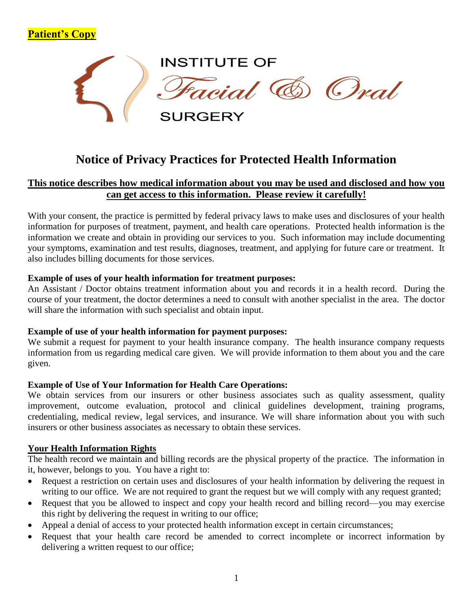

# **Notice of Privacy Practices for Protected Health Information**

# **This notice describes how medical information about you may be used and disclosed and how you can get access to this information. Please review it carefully!**

With your consent, the practice is permitted by federal privacy laws to make uses and disclosures of your health information for purposes of treatment, payment, and health care operations. Protected health information is the information we create and obtain in providing our services to you. Such information may include documenting your symptoms, examination and test results, diagnoses, treatment, and applying for future care or treatment. It also includes billing documents for those services.

# **Example of uses of your health information for treatment purposes:**

An Assistant / Doctor obtains treatment information about you and records it in a health record. During the course of your treatment, the doctor determines a need to consult with another specialist in the area. The doctor will share the information with such specialist and obtain input.

# **Example of use of your health information for payment purposes:**

We submit a request for payment to your health insurance company. The health insurance company requests information from us regarding medical care given. We will provide information to them about you and the care given.

# **Example of Use of Your Information for Health Care Operations:**

We obtain services from our insurers or other business associates such as quality assessment, quality improvement, outcome evaluation, protocol and clinical guidelines development, training programs, credentialing, medical review, legal services, and insurance. We will share information about you with such insurers or other business associates as necessary to obtain these services.

# **Your Health Information Rights**

**Patient's Copy**

The health record we maintain and billing records are the physical property of the practice. The information in it, however, belongs to you. You have a right to:

- Request a restriction on certain uses and disclosures of your health information by delivering the request in writing to our office. We are not required to grant the request but we will comply with any request granted;
- Request that you be allowed to inspect and copy your health record and billing record—you may exercise this right by delivering the request in writing to our office;
- Appeal a denial of access to your protected health information except in certain circumstances;
- Request that your health care record be amended to correct incomplete or incorrect information by delivering a written request to our office;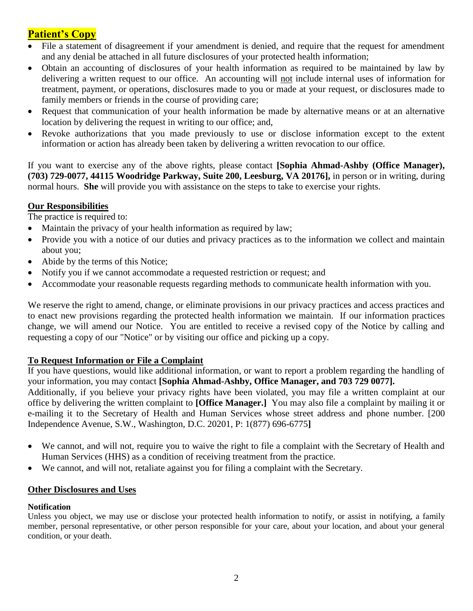# **Patient's Copy**

- File a statement of disagreement if your amendment is denied, and require that the request for amendment and any denial be attached in all future disclosures of your protected health information;
- Obtain an accounting of disclosures of your health information as required to be maintained by law by delivering a written request to our office. An accounting will not include internal uses of information for treatment, payment, or operations, disclosures made to you or made at your request, or disclosures made to family members or friends in the course of providing care;
- Request that communication of your health information be made by alternative means or at an alternative location by delivering the request in writing to our office; and,
- Revoke authorizations that you made previously to use or disclose information except to the extent information or action has already been taken by delivering a written revocation to our office.

If you want to exercise any of the above rights, please contact **[Sophia Ahmad-Ashby (Office Manager), (703) 729-0077, 44115 Woodridge Parkway, Suite 200, Leesburg, VA 20176],** in person or in writing, during normal hours. **She** will provide you with assistance on the steps to take to exercise your rights.

# **Our Responsibilities**

The practice is required to:

- Maintain the privacy of your health information as required by law;
- Provide you with a notice of our duties and privacy practices as to the information we collect and maintain about you;
- Abide by the terms of this Notice;
- Notify you if we cannot accommodate a requested restriction or request; and
- Accommodate your reasonable requests regarding methods to communicate health information with you.

We reserve the right to amend, change, or eliminate provisions in our privacy practices and access practices and to enact new provisions regarding the protected health information we maintain. If our information practices change, we will amend our Notice. You are entitled to receive a revised copy of the Notice by calling and requesting a copy of our "Notice" or by visiting our office and picking up a copy.

# **To Request Information or File a Complaint**

If you have questions, would like additional information, or want to report a problem regarding the handling of your information, you may contact **[Sophia Ahmad-Ashby, Office Manager, and 703 729 0077].**

Additionally, if you believe your privacy rights have been violated, you may file a written complaint at our office by delivering the written complaint to **[Office Manager.]** You may also file a complaint by mailing it or e-mailing it to the Secretary of Health and Human Services whose street address and phone number. [200 Independence Avenue, S.W., Washington, D.C. 20201, P: 1(877) 696-6775**]**

- We cannot, and will not, require you to waive the right to file a complaint with the Secretary of Health and Human Services (HHS) as a condition of receiving treatment from the practice.
- We cannot, and will not, retaliate against you for filing a complaint with the Secretary.

# **Other Disclosures and Uses**

# **Notification**

Unless you object, we may use or disclose your protected health information to notify, or assist in notifying, a family member, personal representative, or other person responsible for your care, about your location, and about your general condition, or your death.